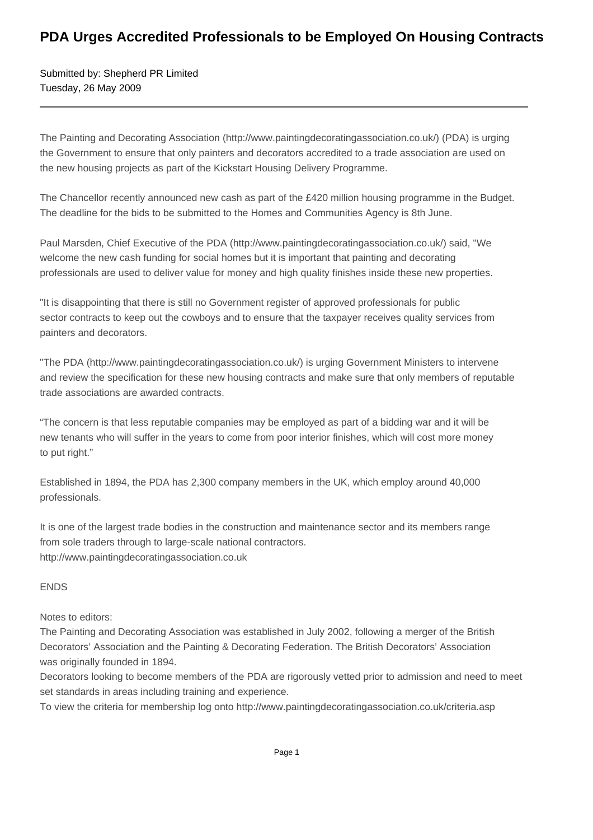## **PDA Urges Accredited Professionals to be Employed On Housing Contracts**

Submitted by: Shepherd PR Limited Tuesday, 26 May 2009

The Painting and Decorating Association (http://www.paintingdecoratingassociation.co.uk/) (PDA) is urging the Government to ensure that only painters and decorators accredited to a trade association are used on the new housing projects as part of the Kickstart Housing Delivery Programme.

The Chancellor recently announced new cash as part of the £420 million housing programme in the Budget. The deadline for the bids to be submitted to the Homes and Communities Agency is 8th June.

Paul Marsden, Chief Executive of the PDA (http://www.paintingdecoratingassociation.co.uk/) said, "We welcome the new cash funding for social homes but it is important that painting and decorating professionals are used to deliver value for money and high quality finishes inside these new properties.

"It is disappointing that there is still no Government register of approved professionals for public sector contracts to keep out the cowboys and to ensure that the taxpayer receives quality services from painters and decorators.

"The PDA (http://www.paintingdecoratingassociation.co.uk/) is urging Government Ministers to intervene and review the specification for these new housing contracts and make sure that only members of reputable trade associations are awarded contracts.

"The concern is that less reputable companies may be employed as part of a bidding war and it will be new tenants who will suffer in the years to come from poor interior finishes, which will cost more money to put right."

Established in 1894, the PDA has 2,300 company members in the UK, which employ around 40,000 professionals.

It is one of the largest trade bodies in the construction and maintenance sector and its members range from sole traders through to large-scale national contractors. http://www.paintingdecoratingassociation.co.uk

ENDS

Notes to editors:

The Painting and Decorating Association was established in July 2002, following a merger of the British Decorators' Association and the Painting & Decorating Federation. The British Decorators' Association was originally founded in 1894.

Decorators looking to become members of the PDA are rigorously vetted prior to admission and need to meet set standards in areas including training and experience.

To view the criteria for membership log onto http://www.paintingdecoratingassociation.co.uk/criteria.asp